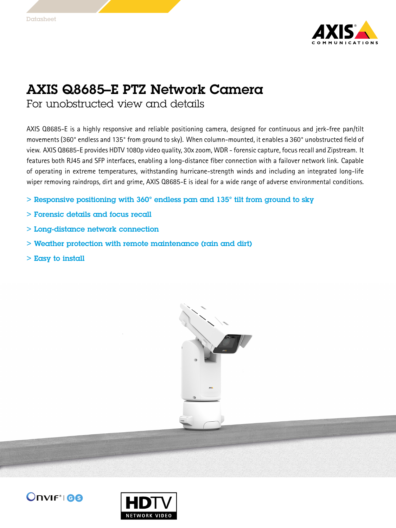

## AXIS Q8685–E PTZ Network Camera

For unobstructed view and details

AXIS Q8685-E is <sup>a</sup> highly responsive and reliable positioning camera, designed for continuous and jerk-free pan/tilt movements (360° endless and 135° from ground to sky). When column-mounted, it enables <sup>a</sup> 360° unobstructed field of view. AXIS Q8685-E provides HDTV 1080p video quality, 30x zoom, WDR - forensic capture, focus recall and Zipstream. It features both RJ45 and SFP interfaces, enabling <sup>a</sup> long-distance fiber connection with <sup>a</sup> failover network link. Capable of operating in extreme temperatures, withstanding hurricane-strength winds and including an integrated long-life wiper removing raindrops, dirt and grime, AXIS Q8685-E is ideal for <sup>a</sup> wide range of adverse environmental conditions.

- > Responsive positioning with 360° endless pan and 135° tilt from ground to sky
- > Forensic details and focus recall
- > Long-distance network connection
- > Weather protection with remote maintenance (rain and dirt)
- $>$  Easy to install





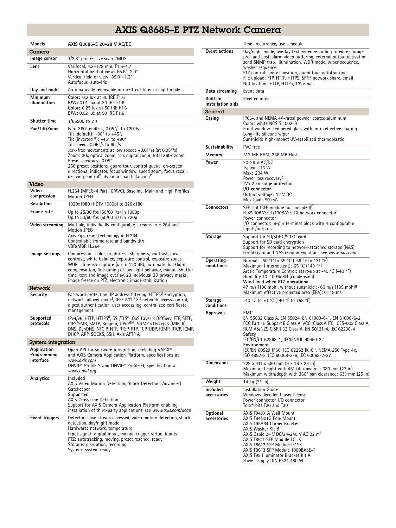## AXIS Q8685–E PTZ Network Camera

| <b>Models</b>                           | AXIS Q8685-E 20-28 V AC/DC                                                                                                                                                                                                                                                                                                                                                                                                                                                                                                                 |
|-----------------------------------------|--------------------------------------------------------------------------------------------------------------------------------------------------------------------------------------------------------------------------------------------------------------------------------------------------------------------------------------------------------------------------------------------------------------------------------------------------------------------------------------------------------------------------------------------|
| Camera                                  |                                                                                                                                                                                                                                                                                                                                                                                                                                                                                                                                            |
| Image sensor                            | 1/2.8" progressive scan CMOS                                                                                                                                                                                                                                                                                                                                                                                                                                                                                                               |
| Lens                                    | Varifocal, 4.3-129 mm, F1.6-4.7<br>Horizontal field of view: 65.6°-2.0°<br>Vertical field of view: 39.0°-1.2°<br>Autofocus, auto-iris                                                                                                                                                                                                                                                                                                                                                                                                      |
| Day and night                           | Automatically removable infrared-cut filter in night mode                                                                                                                                                                                                                                                                                                                                                                                                                                                                                  |
| Minimum<br>illumination                 | Color: 0.2 lux at 30 IRE F1.6<br><b>B/W:</b> 0.01 lux at 30 IRE F1.6<br>Color: 0.25 lux at 50 IRE F1.6<br>B/W: 0.02 lux at 50 IRE F1.6                                                                                                                                                                                                                                                                                                                                                                                                     |
| <b>Shutter time</b>                     | 1/66500 to 2 s                                                                                                                                                                                                                                                                                                                                                                                                                                                                                                                             |
| Pan/Tilt/Zoom                           | Pan: 360° endless, 0.05°/s to 120°/s<br>Tilt (default): $-90^\circ$ to $+45^\circ$ ,<br>Tilt (inverted $a)$ : -45° to +90°<br>Tilt speed: $0.05^{\circ}/s$ to $60^{\circ}/s$<br>Jerk-free movements at low speed: $\pm$ 0.01°/s (at 0.05°/s)<br>Zoom: 30x optical zoom, 12x digital zoom, total 360x zoom<br>Preset accuracy: 0.05°<br>256 preset positions, guard tour, control queue, on-screen<br>directional indicator, focus window, speed zoom, focus recall,<br>de-icing control <sup>b</sup> , dynamic load balancing <sup>c</sup> |
| Video                                   |                                                                                                                                                                                                                                                                                                                                                                                                                                                                                                                                            |
| Video<br>compression                    | H.264 (MPEG-4 Part 10/AVC), Baseline, Main and High Profiles<br>Motion JPEG                                                                                                                                                                                                                                                                                                                                                                                                                                                                |
| Resolution                              | 1920x1080 (HDTV 1080p) to 320x180                                                                                                                                                                                                                                                                                                                                                                                                                                                                                                          |
| Frame rate                              | Up to 25/30 fps (50/60 Hz) in 1080p<br>Up to 50/60 fps (50/60 Hz) in 720p                                                                                                                                                                                                                                                                                                                                                                                                                                                                  |
| Video streaming                         | Multiple, individually configurable streams in H.264 and<br>Motion JPEG<br>Axis Zipstream technology in H.264<br>Controllable frame rate and bandwidth<br>VBR/MBR H.264                                                                                                                                                                                                                                                                                                                                                                    |
| Image settings                          | Compression, color, brightness, sharpness, contrast, local<br>contrast, white balance, exposure control, exposure zones,<br>WDR - forensic capture (up to 120 dB), automatic backlight<br>compensation, fine tuning of low-light behavior, manual shutter<br>time, text and image overlay, 20 individual 3D privacy masks,<br>image freeze on PTZ, electronic image stabilization                                                                                                                                                          |
| <b>Network</b>                          |                                                                                                                                                                                                                                                                                                                                                                                                                                                                                                                                            |
| Security                                | Password protection, IP address filtering, HTTPS <sup>d</sup> encryption,<br>network failover mode <sup>t</sup> , IEEE 802.1X <sup>d</sup> network access control,<br>digest authentication, user access log, centralized certificate<br>management                                                                                                                                                                                                                                                                                        |
| Supported<br>protocols                  | IPv4/v6, HTTP, HTTPS <sup>d</sup> , SSL/TLS <sup>d</sup> , QoS Layer 3 DiffServ, FTP, SFTP,<br>CIFS/SMB, SMTP, Bonjour, UPnP™, SNMP v1/v2c/v3 (MIB-II),<br>DNS, DynDNS, NTCIP, NTP, RTSP, RTP, TCP, UDP, IGMP, RTCP, ICMP,<br>DHCP, ARP, SOCKS, SSH, Axis APTP A                                                                                                                                                                                                                                                                           |
| <b>System integration</b>               |                                                                                                                                                                                                                                                                                                                                                                                                                                                                                                                                            |
| Application<br>Programming<br>Interface | Open API for software integration, including VAPIX <sup>®</sup><br>and AXIS Camera Application Platform, specifications at<br>www.axis.com<br>ONVIF <sup>®</sup> Profile S and ONVIF <sup>®</sup> Profile G, specification at<br>www.onvif.org                                                                                                                                                                                                                                                                                             |
| Analytics                               | Included<br>AXIS Video Motion Detection, Shock Detection, Advanced<br>Gatekeeper<br>Supported<br>AXIS Cross Line Detection<br>Support for AXIS Camera Application Platform enabling<br>installation of third-party applications, see www.axis.com/acap                                                                                                                                                                                                                                                                                     |
| Event triggers                          | Detectors: live stream accessed, video motion detection, shock<br>detection, day/night mode<br>Hardware: network, temperature<br>Input signal: digital input, manual trigger, virtual inputs<br>PTZ: autotracking, moving, preset reached, ready<br>Storage: disruption, recording<br>System: system ready                                                                                                                                                                                                                                 |

|                               | Time: recurrence, use schedule                                                                                                                                                                                                                                                                                                                                                           |
|-------------------------------|------------------------------------------------------------------------------------------------------------------------------------------------------------------------------------------------------------------------------------------------------------------------------------------------------------------------------------------------------------------------------------------|
| <b>Event actions</b>          | Day/night mode, overlay text, video recording to edge storage,<br>pre- and post-alarm video buffering, external output activation,<br>send SNMP trap, illumination, WDR mode, wiper sequence,<br>washer sequence<br>PTZ control: preset position, quard tour, autotracking<br>File upload: FTP, HTTP, HTTPS, SFTP, network share, email<br>Notification: HTTP, HTTPS, TCP, email         |
| Data streaming                | Event data                                                                                                                                                                                                                                                                                                                                                                               |
| Built-in<br>installation aids | Pixel counter                                                                                                                                                                                                                                                                                                                                                                            |
| General                       |                                                                                                                                                                                                                                                                                                                                                                                          |
| Casing                        | IP66-, and NEMA 4X-rated powder coated aluminum<br>Color: white NCS S 1002-B<br>Front window: tempered glass with anti-reflective coating<br>Long-life silicone wiper<br>Sunshield: high-impact UV-stabilized thermoplastic                                                                                                                                                              |
| Sustainability                | PVC free                                                                                                                                                                                                                                                                                                                                                                                 |
| Memory                        | 512 MB RAM, 256 MB Flash                                                                                                                                                                                                                                                                                                                                                                 |
| Power                         | 20-28 V AC/DC<br>Typical: 16 W<br>Max: 204 W<br>Power loss recovery <sup>e</sup><br>TVS 2 kV surge protection<br>I/O connector<br>Output voltage: 12 V DC<br>Max load: 50 mA                                                                                                                                                                                                             |
| <b>Connectors</b>             | SFP slot (SFP module not included) <sup>†</sup><br>RJ45 10BASE-T/100BASE-TX network connector <sup>f</sup><br>Power connector<br>I/O connector: 6-pin terminal block with 4 configurable<br>inputs/outputs                                                                                                                                                                               |
| Storage                       | Support for SD/SDHC/SDXC card<br>Support for SD card encryption<br>Support for recording to network-attached storage (NAS)<br>For SD card and NAS recommendations see www.gxis.com                                                                                                                                                                                                       |
| Operating<br>conditions       | Normal: -50 °C to 55 °C (-58 °F to 131 °F)<br>Maximum (intermittent): 65 °C (149 °F)<br>Arctic Temperature Control: start-up at -40 °C (-40 °F)<br>Humidity 10-100% RH (condensing)<br>Wind load when PTZ operational<br>47 m/s (106 mph), without sunshield $> 60$ m/s (135 mph) <sup>g</sup><br>Maximum effective projected area (EPA): $0.119 \text{ m}^2$                            |
| <b>Storage</b><br>conditions  | -40 °C to 70 °C (-40 °F to 158 °F)                                                                                                                                                                                                                                                                                                                                                       |
| <b>Approvals</b>              | <b>EMC</b><br>EN 55032 Class A, EN 55024, EN 61000-6-1, EN 61000-6-2,<br>FCC Part 15 Subpart B Class A, VCCI Class A ITE, ICES-003 Class A,<br>RCM AS/NZS CISPR 32 Class A, EN 50121-4, IEC 62236-4<br>Safety<br>IEC/EN/UL 62368-1, IEC/EN/UL 60950-22<br>Environment<br>IEC/EN 60529 IP66, IEC 62262 IK10 <sup>h</sup> , NEMA 250 Type 4x,<br>ISO 4892-2, IEC 60068-2-6, IEC 60068-2-27 |
| <b>Dimensions</b>             | 229 x 411 x 580 mm (9 x 16 x 23 in)<br>Maximum height with 45° tilt upwards: 680 mm (27 in)<br>Maximum width/depth with 360° pan clearance: 633 mm (25 in)                                                                                                                                                                                                                               |
| Weight                        | 14 kg (31 lb)                                                                                                                                                                                                                                                                                                                                                                            |
| Included<br>accessories       | Installation Guide<br>Windows decoder 1-user license<br>Power connector, I/O connector<br>Torx <sup>®</sup> bits T20 and T30                                                                                                                                                                                                                                                             |
| Optional<br>accessories       | AXIS T94J01A Wall Mount<br>AXIS T94N01G Pole Mount<br>AXIS T95A64 Corner Bracket<br>AXIS Washer Kit B<br>AXIS Cable 24 V DC/24-240 V AC 22 m <sup>1</sup><br>AXIS T8611 SFP Module LC.LX<br>AXIS T8612 SFP Module LC.SX<br>AXIS T8613 SFP Module 1000BASE-T<br>AXIS T99 Illuminator Bracket Kit A<br>Power supply DIN PS24 480 W                                                         |